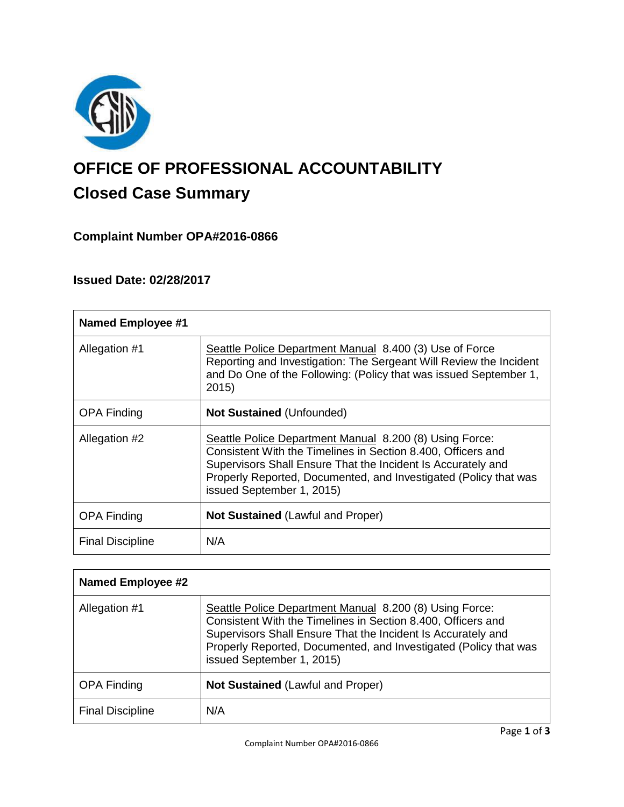

# **OFFICE OF PROFESSIONAL ACCOUNTABILITY Closed Case Summary**

# **Complaint Number OPA#2016-0866**

# **Issued Date: 02/28/2017**

| <b>Named Employee #1</b> |                                                                                                                                                                                                                                                                                          |
|--------------------------|------------------------------------------------------------------------------------------------------------------------------------------------------------------------------------------------------------------------------------------------------------------------------------------|
| Allegation #1            | Seattle Police Department Manual 8.400 (3) Use of Force<br>Reporting and Investigation: The Sergeant Will Review the Incident<br>and Do One of the Following: (Policy that was issued September 1,<br>2015                                                                               |
| <b>OPA Finding</b>       | <b>Not Sustained (Unfounded)</b>                                                                                                                                                                                                                                                         |
| Allegation #2            | Seattle Police Department Manual 8.200 (8) Using Force:<br>Consistent With the Timelines in Section 8.400, Officers and<br>Supervisors Shall Ensure That the Incident Is Accurately and<br>Properly Reported, Documented, and Investigated (Policy that was<br>issued September 1, 2015) |
| <b>OPA Finding</b>       | <b>Not Sustained (Lawful and Proper)</b>                                                                                                                                                                                                                                                 |
| <b>Final Discipline</b>  | N/A                                                                                                                                                                                                                                                                                      |

| <b>Named Employee #2</b> |                                                                                                                                                                                                                                                                                          |
|--------------------------|------------------------------------------------------------------------------------------------------------------------------------------------------------------------------------------------------------------------------------------------------------------------------------------|
| Allegation #1            | Seattle Police Department Manual 8.200 (8) Using Force:<br>Consistent With the Timelines in Section 8.400, Officers and<br>Supervisors Shall Ensure That the Incident Is Accurately and<br>Properly Reported, Documented, and Investigated (Policy that was<br>issued September 1, 2015) |
| <b>OPA Finding</b>       | <b>Not Sustained (Lawful and Proper)</b>                                                                                                                                                                                                                                                 |
| <b>Final Discipline</b>  | N/A                                                                                                                                                                                                                                                                                      |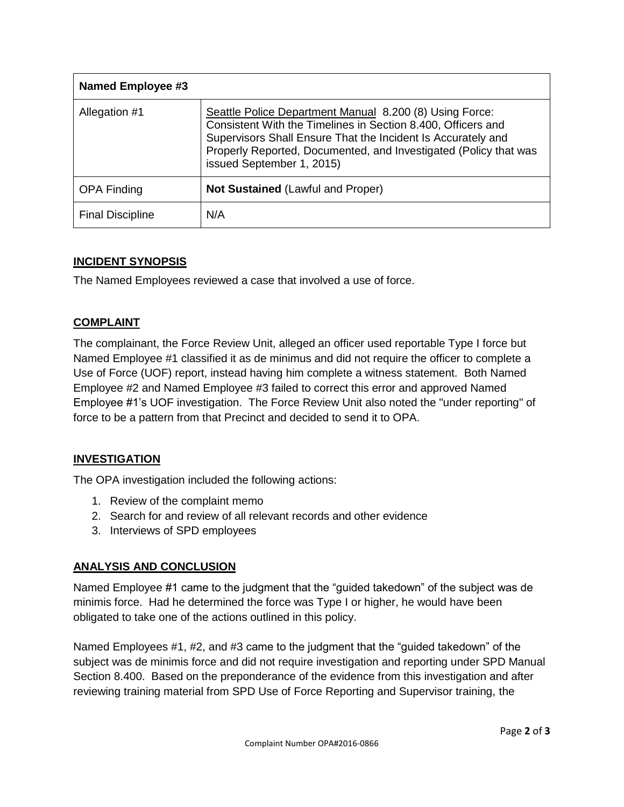| Named Employee #3       |                                                                                                                                                                                                                                                                                          |
|-------------------------|------------------------------------------------------------------------------------------------------------------------------------------------------------------------------------------------------------------------------------------------------------------------------------------|
| Allegation #1           | Seattle Police Department Manual 8.200 (8) Using Force:<br>Consistent With the Timelines in Section 8.400, Officers and<br>Supervisors Shall Ensure That the Incident Is Accurately and<br>Properly Reported, Documented, and Investigated (Policy that was<br>issued September 1, 2015) |
| <b>OPA Finding</b>      | <b>Not Sustained (Lawful and Proper)</b>                                                                                                                                                                                                                                                 |
| <b>Final Discipline</b> | N/A                                                                                                                                                                                                                                                                                      |

## **INCIDENT SYNOPSIS**

The Named Employees reviewed a case that involved a use of force.

## **COMPLAINT**

The complainant, the Force Review Unit, alleged an officer used reportable Type I force but Named Employee #1 classified it as de minimus and did not require the officer to complete a Use of Force (UOF) report, instead having him complete a witness statement. Both Named Employee #2 and Named Employee #3 failed to correct this error and approved Named Employee #1's UOF investigation. The Force Review Unit also noted the "under reporting" of force to be a pattern from that Precinct and decided to send it to OPA.

# **INVESTIGATION**

The OPA investigation included the following actions:

- 1. Review of the complaint memo
- 2. Search for and review of all relevant records and other evidence
- 3. Interviews of SPD employees

#### **ANALYSIS AND CONCLUSION**

Named Employee #1 came to the judgment that the "guided takedown" of the subject was de minimis force. Had he determined the force was Type I or higher, he would have been obligated to take one of the actions outlined in this policy.

Named Employees #1, #2, and #3 came to the judgment that the "guided takedown" of the subject was de minimis force and did not require investigation and reporting under SPD Manual Section 8.400. Based on the preponderance of the evidence from this investigation and after reviewing training material from SPD Use of Force Reporting and Supervisor training, the